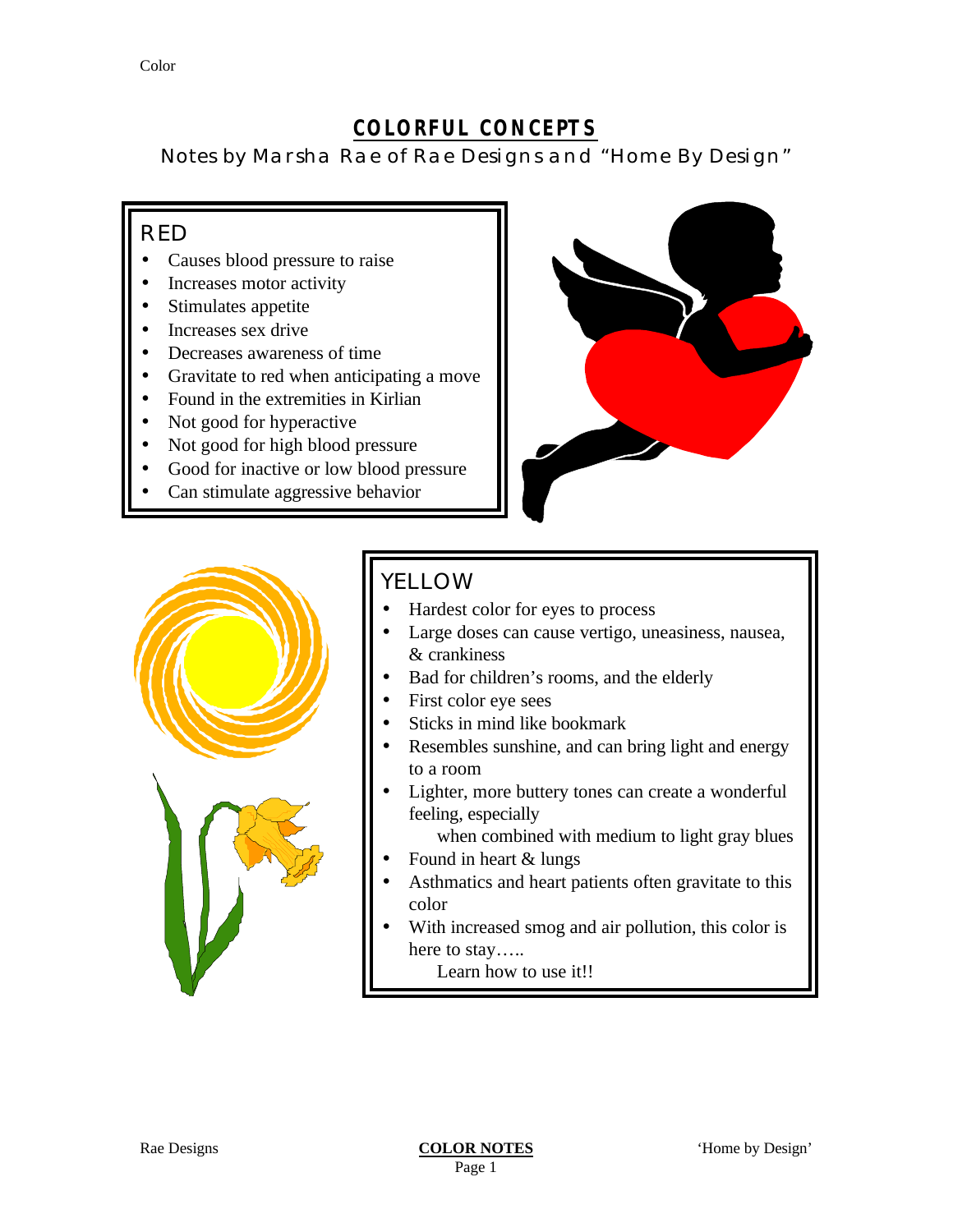### **COLORFUL CONCEPTS**

Notes by Marsha Rae of Rae Designs and "Home By Design"

#### RED

- Causes blood pressure to raise
- Increases motor activity
- Stimulates appetite
- Increases sex drive
- Decreases awareness of time
- Gravitate to red when anticipating a move
- Found in the extremities in Kirlian
- Not good for hyperactive
- Not good for high blood pressure
- Good for inactive or low blood pressure
- Can stimulate aggressive behavior





## YELLOW

- Hardest color for eyes to process
- Large doses can cause vertigo, uneasiness, nausea, & crankiness
- Bad for children's rooms, and the elderly
- First color eye sees
- Sticks in mind like bookmark
- Resembles sunshine, and can bring light and energy to a room
- Lighter, more buttery tones can create a wonderful feeling, especially
	- when combined with medium to light gray blues
- Found in heart  $&$  lungs
- Asthmatics and heart patients often gravitate to this color
- With increased smog and air pollution, this color is here to stay…..
	- Learn how to use it!!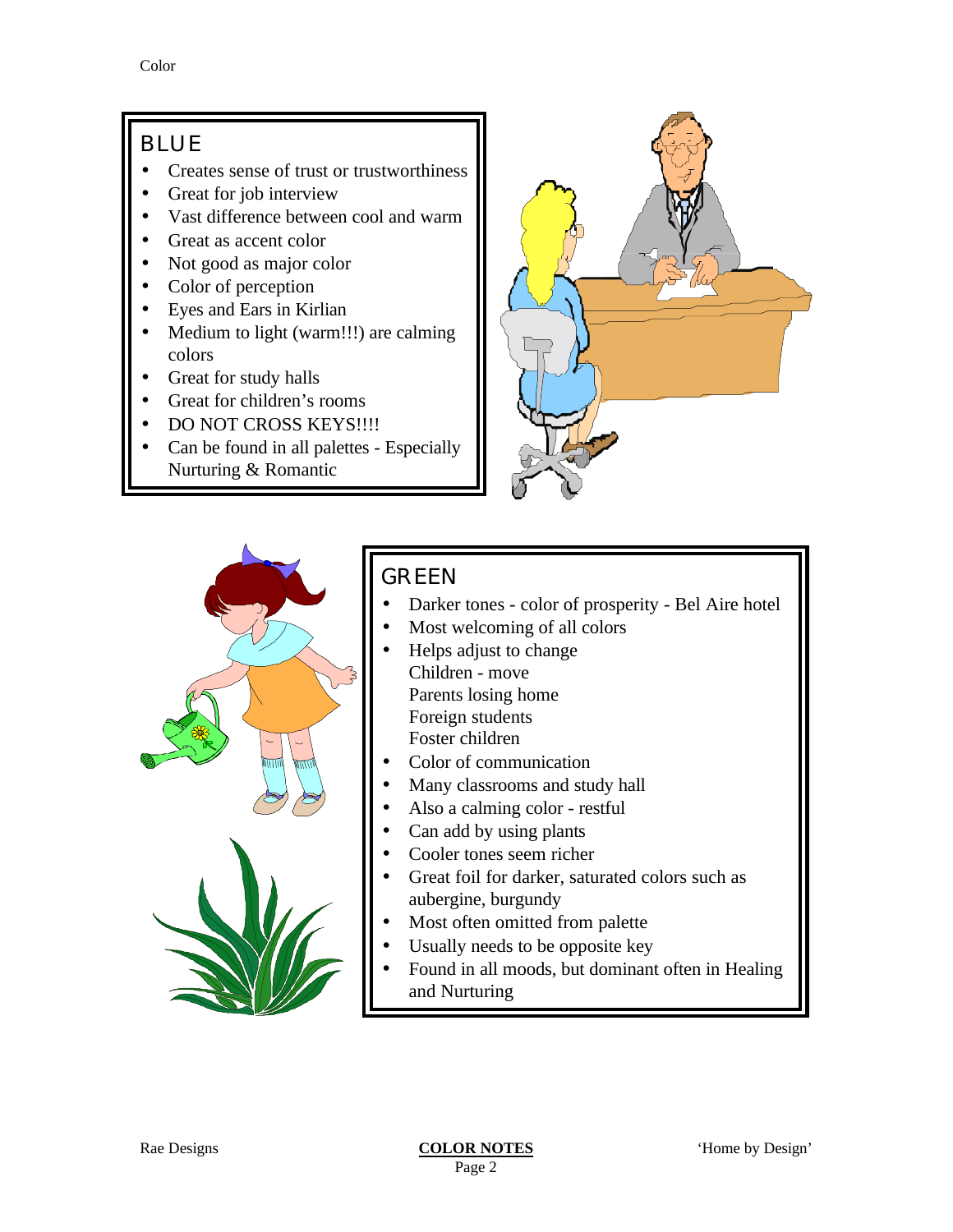### BLUE

- Creates sense of trust or trustworthiness
- Great for job interview
- Vast difference between cool and warm
- Great as accent color
- Not good as major color
- Color of perception
- Eyes and Ears in Kirlian
- Medium to light (warm!!!) are calming colors
- Great for study halls
- Great for children's rooms
- DO NOT CROSS KEYS!!!!
- Can be found in all palettes Especially Nurturing & Romantic





# GREEN

- Darker tones color of prosperity Bel Aire hotel
- Most welcoming of all colors
- Helps adjust to change Children - move Parents losing home Foreign students Foster children
- Color of communication
- Many classrooms and study hall
- Also a calming color restful
- Can add by using plants
- Cooler tones seem richer
- Great foil for darker, saturated colors such as aubergine, burgundy
- Most often omitted from palette
- Usually needs to be opposite key
- Found in all moods, but dominant often in Healing and Nurturing